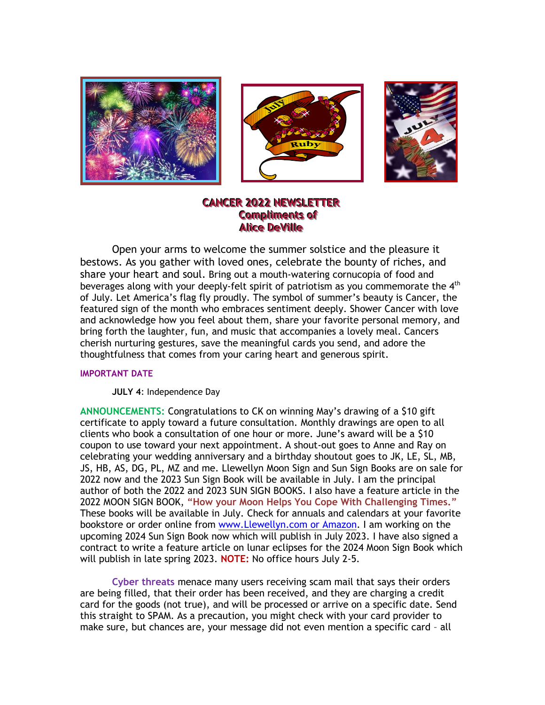





# **CANCER 2022 NEWSLETTER Compliments of Alice DeVille**

Open your arms to welcome the summer solstice and the pleasure it bestows. As you gather with loved ones, celebrate the bounty of riches, and share your heart and soul. Bring out a mouth-watering cornucopia of food and beverages along with your deeply-felt spirit of patriotism as you commemorate the  $4<sup>th</sup>$ of July. Let America's flag fly proudly. The symbol of summer's beauty is Cancer, the featured sign of the month who embraces sentiment deeply. Shower Cancer with love and acknowledge how you feel about them, share your favorite personal memory, and bring forth the laughter, fun, and music that accompanies a lovely meal. Cancers cherish nurturing gestures, save the meaningful cards you send, and adore the thoughtfulness that comes from your caring heart and generous spirit.

#### **IMPORTANT DATE**

**JULY 4**: Independence Day

**ANNOUNCEMENTS:** Congratulations to CK on winning May's drawing of a \$10 gift certificate to apply toward a future consultation. Monthly drawings are open to all clients who book a consultation of one hour or more. June's award will be a \$10 coupon to use toward your next appointment. A shout-out goes to Anne and Ray on celebrating your wedding anniversary and a birthday shoutout goes to JK, LE, SL, MB, JS, HB, AS, DG, PL, MZ and me. Llewellyn Moon Sign and Sun Sign Books are on sale for 2022 now and the 2023 Sun Sign Book will be available in July. I am the principal author of both the 2022 and 2023 SUN SIGN BOOKS. I also have a feature article in the 2022 MOON SIGN BOOK, **"How your Moon Helps You Cope With Challenging Times."** These books will be available in July. Check for annuals and calendars at your favorite bookstore or order online from [www.Llewellyn.com](http://www.llewellyn.com/) or Amazon. I am working on the upcoming 2024 Sun Sign Book now which will publish in July 2023. I have also signed a contract to write a feature article on lunar eclipses for the 2024 Moon Sign Book which will publish in late spring 2023. **NOTE:** No office hours July 2-5.

**Cyber threats** menace many users receiving scam mail that says their orders are being filled, that their order has been received, and they are charging a credit card for the goods (not true), and will be processed or arrive on a specific date. Send this straight to SPAM. As a precaution, you might check with your card provider to make sure, but chances are, your message did not even mention a specific card – all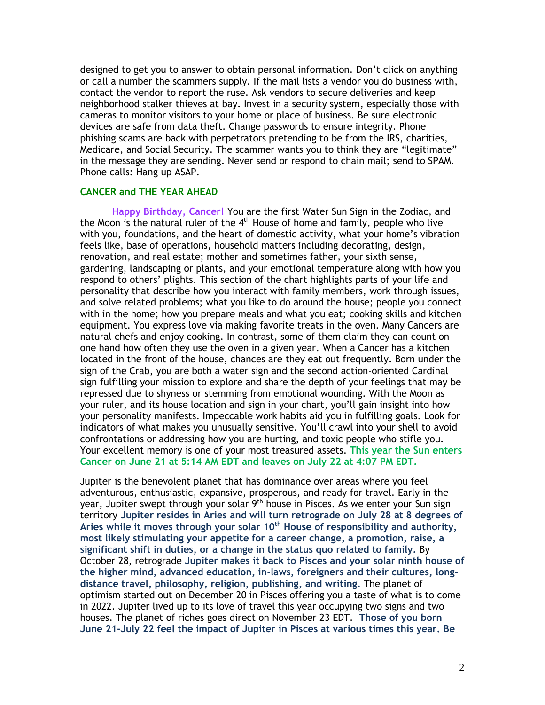designed to get you to answer to obtain personal information. Don't click on anything or call a number the scammers supply. If the mail lists a vendor you do business with, contact the vendor to report the ruse. Ask vendors to secure deliveries and keep neighborhood stalker thieves at bay. Invest in a security system, especially those with cameras to monitor visitors to your home or place of business. Be sure electronic devices are safe from data theft. Change passwords to ensure integrity. Phone phishing scams are back with perpetrators pretending to be from the IRS, charities, Medicare, and Social Security. The scammer wants you to think they are "legitimate" in the message they are sending. Never send or respond to chain mail; send to SPAM. Phone calls: Hang up ASAP.

#### **CANCER and THE YEAR AHEAD**

**Happy Birthday, Cancer!** You are the first Water Sun Sign in the Zodiac, and the Moon is the natural ruler of the 4<sup>th</sup> House of home and family, people who live with you, foundations, and the heart of domestic activity, what your home's vibration feels like, base of operations, household matters including decorating, design, renovation, and real estate; mother and sometimes father, your sixth sense, gardening, landscaping or plants, and your emotional temperature along with how you respond to others' plights. This section of the chart highlights parts of your life and personality that describe how you interact with family members, work through issues, and solve related problems; what you like to do around the house; people you connect with in the home; how you prepare meals and what you eat; cooking skills and kitchen equipment. You express love via making favorite treats in the oven. Many Cancers are natural chefs and enjoy cooking. In contrast, some of them claim they can count on one hand how often they use the oven in a given year. When a Cancer has a kitchen located in the front of the house, chances are they eat out frequently. Born under the sign of the Crab, you are both a water sign and the second action-oriented Cardinal sign fulfilling your mission to explore and share the depth of your feelings that may be repressed due to shyness or stemming from emotional wounding. With the Moon as your ruler, and its house location and sign in your chart, you'll gain insight into how your personality manifests. Impeccable work habits aid you in fulfilling goals. Look for indicators of what makes you unusually sensitive. You'll crawl into your shell to avoid confrontations or addressing how you are hurting, and toxic people who stifle you. Your excellent memory is one of your most treasured assets. **This year the Sun enters Cancer on June 21 at 5:14 AM EDT and leaves on July 22 at 4:07 PM EDT.**

Jupiter is the benevolent planet that has dominance over areas where you feel adventurous, enthusiastic, expansive, prosperous, and ready for travel. Early in the year, Jupiter swept through your solar 9<sup>th</sup> house in Pisces. As we enter your Sun sign territory **Jupiter resides in Aries and will turn retrograde on July 28 at 8 degrees of Aries while it moves through your solar 10th House of responsibility and authority, most likely stimulating your appetite for a career change, a promotion, raise, a significant shift in duties, or a change in the status quo related to family.** By October 28, retrograde **Jupiter makes it back to Pisces and your solar ninth house of the higher mind, advanced education, in-laws, foreigners and their cultures, longdistance travel, philosophy, religion, publishing, and writing.** The planet of optimism started out on December 20 in Pisces offering you a taste of what is to come in 2022. Jupiter lived up to its love of travel this year occupying two signs and two houses. The planet of riches goes direct on November 23 EDT. **Those of you born June 21-July 22 feel the impact of Jupiter in Pisces at various times this year. Be**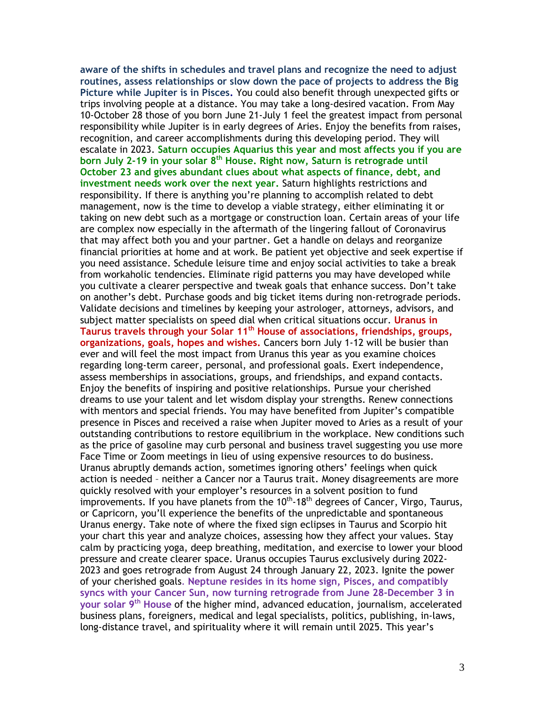**aware of the shifts in schedules and travel plans and recognize the need to adjust routines, assess relationships or slow down the pace of projects to address the Big Picture while Jupiter is in Pisces.** You could also benefit through unexpected gifts or trips involving people at a distance. You may take a long-desired vacation. From May 10-October 28 those of you born June 21-July 1 feel the greatest impact from personal responsibility while Jupiter is in early degrees of Aries. Enjoy the benefits from raises, recognition, and career accomplishments during this developing period. They will escalate in 2023. **Saturn occupies Aquarius this year and most affects you if you are born July 2-19 in your solar 8 th House. Right now, Saturn is retrograde until October 23 and gives abundant clues about what aspects of finance, debt, and investment needs work over the next year.** Saturn highlights restrictions and responsibility. If there is anything you're planning to accomplish related to debt management, now is the time to develop a viable strategy, either eliminating it or taking on new debt such as a mortgage or construction loan. Certain areas of your life are complex now especially in the aftermath of the lingering fallout of Coronavirus that may affect both you and your partner. Get a handle on delays and reorganize financial priorities at home and at work. Be patient yet objective and seek expertise if you need assistance. Schedule leisure time and enjoy social activities to take a break from workaholic tendencies. Eliminate rigid patterns you may have developed while you cultivate a clearer perspective and tweak goals that enhance success. Don't take on another's debt. Purchase goods and big ticket items during non-retrograde periods. Validate decisions and timelines by keeping your astrologer, attorneys, advisors, and subject matter specialists on speed dial when critical situations occur. **Uranus in Taurus travels through your Solar 11 th House of associations, friendships, groups, organizations, goals, hopes and wishes.** Cancers born July 1-12 will be busier than ever and will feel the most impact from Uranus this year as you examine choices regarding long-term career, personal, and professional goals. Exert independence, assess memberships in associations, groups, and friendships, and expand contacts. Enjoy the benefits of inspiring and positive relationships. Pursue your cherished dreams to use your talent and let wisdom display your strengths. Renew connections with mentors and special friends. You may have benefited from Jupiter's compatible presence in Pisces and received a raise when Jupiter moved to Aries as a result of your outstanding contributions to restore equilibrium in the workplace. New conditions such as the price of gasoline may curb personal and business travel suggesting you use more Face Time or Zoom meetings in lieu of using expensive resources to do business. Uranus abruptly demands action, sometimes ignoring others' feelings when quick action is needed – neither a Cancer nor a Taurus trait. Money disagreements are more quickly resolved with your employer's resources in a solvent position to fund improvements. If you have planets from the  $10^{th}$ -18<sup>th</sup> degrees of Cancer, Virgo, Taurus, or Capricorn, you'll experience the benefits of the unpredictable and spontaneous Uranus energy. Take note of where the fixed sign eclipses in Taurus and Scorpio hit your chart this year and analyze choices, assessing how they affect your values. Stay calm by practicing yoga, deep breathing, meditation, and exercise to lower your blood pressure and create clearer space. Uranus occupies Taurus exclusively during 2022- 2023 and goes retrograde from August 24 through January 22, 2023. Ignite the power of your cherished goals. **Neptune resides in its home sign, Pisces, and compatibly syncs with your Cancer Sun, now turning retrograde from June 28-December 3 in your solar 9 th House** of the higher mind, advanced education, journalism, accelerated business plans, foreigners, medical and legal specialists, politics, publishing, in-laws, long-distance travel, and spirituality where it will remain until 2025. This year's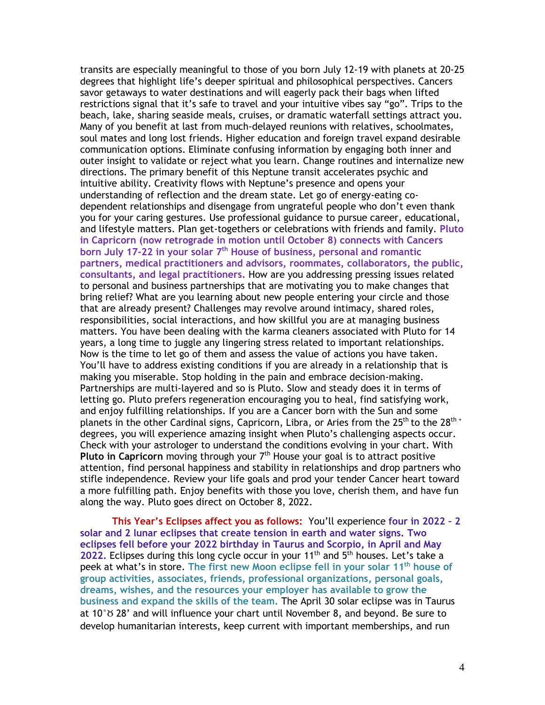transits are especially meaningful to those of you born July 12-19 with planets at 20-25 degrees that highlight life's deeper spiritual and philosophical perspectives. Cancers savor getaways to water destinations and will eagerly pack their bags when lifted restrictions signal that it's safe to travel and your intuitive vibes say "go". Trips to the beach, lake, sharing seaside meals, cruises, or dramatic waterfall settings attract you. Many of you benefit at last from much-delayed reunions with relatives, schoolmates, soul mates and long lost friends. Higher education and foreign travel expand desirable communication options. Eliminate confusing information by engaging both inner and outer insight to validate or reject what you learn. Change routines and internalize new directions. The primary benefit of this Neptune transit accelerates psychic and intuitive ability. Creativity flows with Neptune's presence and opens your understanding of reflection and the dream state. Let go of energy-eating codependent relationships and disengage from ungrateful people who don't even thank you for your caring gestures. Use professional guidance to pursue career, educational, and lifestyle matters. Plan get-togethers or celebrations with friends and family. **Pluto in Capricorn (now retrograde in motion until October 8) connects with Cancers born July 17-22 in your solar 7 th House of business, personal and romantic partners, medical practitioners and advisors, roommates, collaborators, the public, consultants, and legal practitioners.** How are you addressing pressing issues related to personal and business partnerships that are motivating you to make changes that bring relief? What are you learning about new people entering your circle and those that are already present? Challenges may revolve around intimacy, shared roles, responsibilities, social interactions, and how skillful you are at managing business matters. You have been dealing with the karma cleaners associated with Pluto for 14 years, a long time to juggle any lingering stress related to important relationships. Now is the time to let go of them and assess the value of actions you have taken. You'll have to address existing conditions if you are already in a relationship that is making you miserable. Stop holding in the pain and embrace decision-making. Partnerships are multi-layered and so is Pluto. Slow and steady does it in terms of letting go. Pluto prefers regeneration encouraging you to heal, find satisfying work, and enjoy fulfilling relationships. If you are a Cancer born with the Sun and some planets in the other Cardinal signs, Capricorn, Libra, or Aries from the 25<sup>th</sup> to the 28<sup>th +</sup> degrees, you will experience amazing insight when Pluto's challenging aspects occur. Check with your astrologer to understand the conditions evolving in your chart. With **Pluto in Capricorn** moving through your 7th House your goal is to attract positive attention, find personal happiness and stability in relationships and drop partners who stifle independence. Review your life goals and prod your tender Cancer heart toward a more fulfilling path. Enjoy benefits with those you love, cherish them, and have fun along the way. Pluto goes direct on October 8, 2022.

**This Year's Eclipses affect you as follows:** You'll experience **four in 2022 – 2 solar and 2 lunar eclipses that create tension in earth and water signs. Two eclipses fell before your 2022 birthday in Taurus and Scorpio, in April and May**  2022. Eclipses during this long cycle occur in your 11<sup>th</sup> and 5<sup>th</sup> houses. Let's take a peek at what's in store. **The first new Moon eclipse fell in your solar 11th house of group activities, associates, friends, professional organizations, personal goals, dreams, wishes, and the resources your employer has available to grow the business and expand the skills of the team.** The April 30 solar eclipse was in Taurus at  $10^\circ \text{m}$  28' and will influence your chart until November 8, and beyond. Be sure to develop humanitarian interests, keep current with important memberships, and run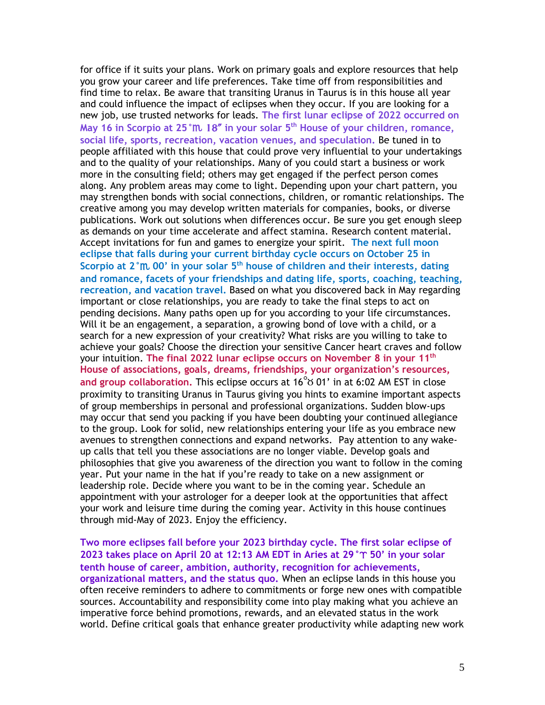for office if it suits your plans. Work on primary goals and explore resources that help you grow your career and life preferences. Take time off from responsibilities and find time to relax. Be aware that transiting Uranus in Taurus is in this house all year and could influence the impact of eclipses when they occur. If you are looking for a new job, use trusted networks for leads. **The first lunar eclipse of 2022 occurred on May 16 in Scorpio at 25°**h 18" **in your solar 5 th House of your children, romance, social life, sports, recreation, vacation venues, and speculation.** Be tuned in to people affiliated with this house that could prove very influential to your undertakings and to the quality of your relationships. Many of you could start a business or work more in the consulting field; others may get engaged if the perfect person comes along. Any problem areas may come to light. Depending upon your chart pattern, you may strengthen bonds with social connections, children, or romantic relationships. The creative among you may develop written materials for companies, books, or diverse publications. Work out solutions when differences occur. Be sure you get enough sleep as demands on your time accelerate and affect stamina. Research content material. Accept invitations for fun and games to energize your spirit. **The next full moon eclipse that falls during your current birthday cycle occurs on October 25 in Scorpio at 2°**h **00' in your solar 5th house of children and their interests, dating and romance, facets of your friendships and dating life, sports, coaching, teaching, recreation, and vacation travel.** Based on what you discovered back in May regarding important or close relationships, you are ready to take the final steps to act on pending decisions. Many paths open up for you according to your life circumstances. Will it be an engagement, a separation, a growing bond of love with a child, or a search for a new expression of your creativity? What risks are you willing to take to achieve your goals? Choose the direction your sensitive Cancer heart craves and follow your intuition. **The final 2022 lunar eclipse occurs on November 8 in your 11th House of associations, goals, dreams, friendships, your organization's resources, and group collaboration.** This eclipse occurs at 16°b 01' in at 6:02 AM EST in close proximity to transiting Uranus in Taurus giving you hints to examine important aspects of group memberships in personal and professional organizations. Sudden blow-ups may occur that send you packing if you have been doubting your continued allegiance to the group. Look for solid, new relationships entering your life as you embrace new avenues to strengthen connections and expand networks. Pay attention to any wakeup calls that tell you these associations are no longer viable. Develop goals and philosophies that give you awareness of the direction you want to follow in the coming year. Put your name in the hat if you're ready to take on a new assignment or leadership role. Decide where you want to be in the coming year. Schedule an appointment with your astrologer for a deeper look at the opportunities that affect your work and leisure time during the coming year. Activity in this house continues through mid-May of 2023. Enjoy the efficiency.

**Two more eclipses fall before your 2023 birthday cycle. The first solar eclipse of 2023 takes place on April 20 at 12:13 AM EDT in Aries at 29 °T 50' in your solar tenth house of career, ambition, authority, recognition for achievements, organizational matters, and the status quo.** When an eclipse lands in this house you often receive reminders to adhere to commitments or forge new ones with compatible sources. Accountability and responsibility come into play making what you achieve an imperative force behind promotions, rewards, and an elevated status in the work world. Define critical goals that enhance greater productivity while adapting new work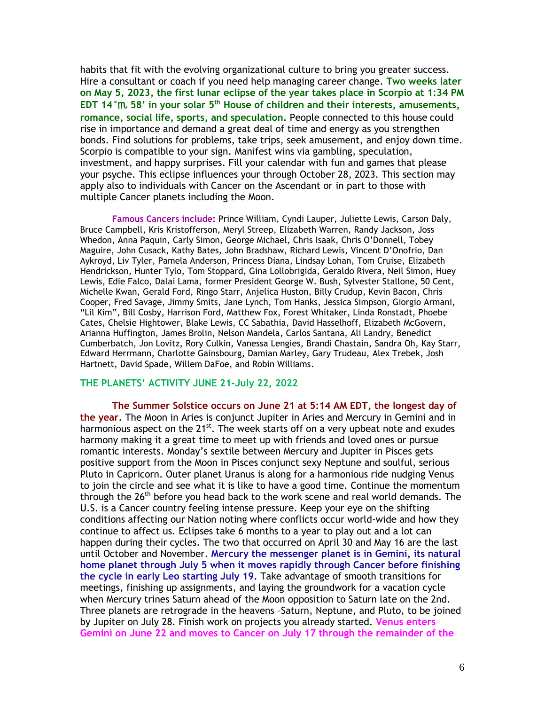habits that fit with the evolving organizational culture to bring you greater success. Hire a consultant or coach if you need help managing career change. **Two weeks later on May 5, 2023, the first lunar eclipse of the year takes place in Scorpio at 1:34 PM EDT 14°**h **58' in your solar 5th House of children and their interests, amusements, romance, social life, sports, and speculation.** People connected to this house could rise in importance and demand a great deal of time and energy as you strengthen bonds. Find solutions for problems, take trips, seek amusement, and enjoy down time. Scorpio is compatible to your sign. Manifest wins via gambling, speculation, investment, and happy surprises. Fill your calendar with fun and games that please your psyche. This eclipse influences your through October 28, 2023. This section may apply also to individuals with Cancer on the Ascendant or in part to those with multiple Cancer planets including the Moon.

**Famous Cancers include:** Prince William, Cyndi Lauper, Juliette Lewis, Carson Daly, Bruce Campbell, Kris Kristofferson, Meryl Streep, Elizabeth Warren, Randy Jackson, Joss Whedon, Anna Paquin, Carly Simon, George Michael, Chris Isaak, Chris O'Donnell, Tobey Maguire, John Cusack, Kathy Bates, John Bradshaw, Richard Lewis, Vincent D'Onofrio, Dan Aykroyd, Liv Tyler, Pamela Anderson, Princess Diana, Lindsay Lohan, Tom Cruise, Elizabeth Hendrickson, Hunter Tylo, Tom Stoppard, Gina Lollobrigida, Geraldo Rivera, Neil Simon, Huey Lewis, Edie Falco, Dalai Lama, former President George W. Bush, Sylvester Stallone, 50 Cent, Michelle Kwan, Gerald Ford, Ringo Starr, Anjelica Huston, Billy Crudup, Kevin Bacon, Chris Cooper, Fred Savage, Jimmy Smits, Jane Lynch, Tom Hanks, Jessica Simpson, Giorgio Armani, "Lil Kim", Bill Cosby, Harrison Ford, Matthew Fox, Forest Whitaker, Linda Ronstadt, Phoebe Cates, Chelsie Hightower, Blake Lewis, CC Sabathia, David Hasselhoff, Elizabeth McGovern, Arianna Huffington, James Brolin, Nelson Mandela, Carlos Santana, Ali Landry, Benedict Cumberbatch, Jon Lovitz, Rory Culkin, Vanessa Lengies, Brandi Chastain, Sandra Oh, Kay Starr, Edward Herrmann, Charlotte Gainsbourg, Damian Marley, Gary Trudeau, Alex Trebek, Josh Hartnett, David Spade, Willem DaFoe, and Robin Williams.

### **THE PLANETS' ACTIVITY JUNE 21-July 22, 2022**

**The Summer Solstice occurs on June 21 at 5:14 AM EDT, the longest day of the year.** The Moon in Aries is conjunct Jupiter in Aries and Mercury in Gemini and in harmonious aspect on the 21<sup>st</sup>. The week starts off on a very upbeat note and exudes harmony making it a great time to meet up with friends and loved ones or pursue romantic interests. Monday's sextile between Mercury and Jupiter in Pisces gets positive support from the Moon in Pisces conjunct sexy Neptune and soulful, serious Pluto in Capricorn. Outer planet Uranus is along for a harmonious ride nudging Venus to join the circle and see what it is like to have a good time. Continue the momentum through the 26<sup>th</sup> before you head back to the work scene and real world demands. The U.S. is a Cancer country feeling intense pressure. Keep your eye on the shifting conditions affecting our Nation noting where conflicts occur world-wide and how they continue to affect us. Eclipses take 6 months to a year to play out and a lot can happen during their cycles. The two that occurred on April 30 and May 16 are the last until October and November. **Mercury the messenger planet is in Gemini, its natural home planet through July 5 when it moves rapidly through Cancer before finishing the cycle in early Leo starting July 19.** Take advantage of smooth transitions for meetings, finishing up assignments, and laying the groundwork for a vacation cycle when Mercury trines Saturn ahead of the Moon opposition to Saturn late on the 2nd. Three planets are retrograde in the heavens –Saturn, Neptune, and Pluto, to be joined by Jupiter on July 28. Finish work on projects you already started. **Venus enters Gemini on June 22 and moves to Cancer on July 17 through the remainder of the**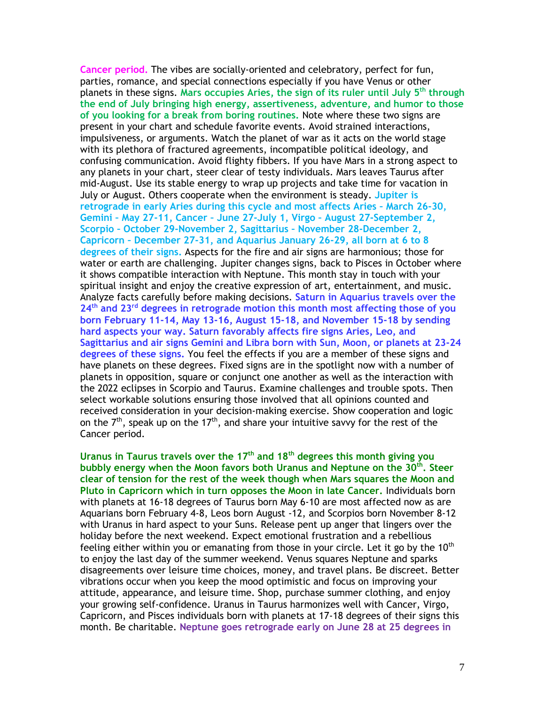**Cancer period.** The vibes are socially-oriented and celebratory, perfect for fun, parties, romance, and special connections especially if you have Venus or other planets in these signs. **Mars occupies Aries, the sign of its ruler until July 5th through the end of July bringing high energy, assertiveness, adventure, and humor to those of you looking for a break from boring routines.** Note where these two signs are present in your chart and schedule favorite events. Avoid strained interactions, impulsiveness, or arguments. Watch the planet of war as it acts on the world stage with its plethora of fractured agreements, incompatible political ideology, and confusing communication. Avoid flighty fibbers. If you have Mars in a strong aspect to any planets in your chart, steer clear of testy individuals. Mars leaves Taurus after mid-August. Use its stable energy to wrap up projects and take time for vacation in July or August. Others cooperate when the environment is steady. **Jupiter is retrograde in early Aries during this cycle and most affects Aries – March 26-30, Gemini – May 27-11, Cancer – June 27-July 1, Virgo – August 27-September 2, Scorpio – October 29-November 2, Sagittarius – November 28-December 2, Capricorn – December 27-31, and Aquarius January 26-29, all born at 6 to 8 degrees of their signs.** Aspects for the fire and air signs are harmonious; those for water or earth are challenging. Jupiter changes signs, back to Pisces in October where it shows compatible interaction with Neptune. This month stay in touch with your spiritual insight and enjoy the creative expression of art, entertainment, and music. Analyze facts carefully before making decisions. **Saturn in Aquarius travels over the 24th and 23rd degrees in retrograde motion this month most affecting those of you born February 11-14, May 13-16, August 15-18, and November 15-18 by sending hard aspects your way. Saturn favorably affects fire signs Aries, Leo, and Sagittarius and air signs Gemini and Libra born with Sun, Moon, or planets at 23-24 degrees of these signs.** You feel the effects if you are a member of these signs and have planets on these degrees. Fixed signs are in the spotlight now with a number of planets in opposition, square or conjunct one another as well as the interaction with the 2022 eclipses in Scorpio and Taurus. Examine challenges and trouble spots. Then select workable solutions ensuring those involved that all opinions counted and received consideration in your decision-making exercise. Show cooperation and logic on the  $7<sup>th</sup>$ , speak up on the 17<sup>th</sup>, and share your intuitive savvy for the rest of the Cancer period.

**Uranus in Taurus travels over the 17 th and 18 th degrees this month giving you bubbly energy when the Moon favors both Uranus and Neptune on the 30th . Steer clear of tension for the rest of the week though when Mars squares the Moon and Pluto in Capricorn which in turn opposes the Moon in late Cancer.** Individuals born with planets at 16-18 degrees of Taurus born May 6-10 are most affected now as are Aquarians born February 4-8, Leos born August -12, and Scorpios born November 8-12 with Uranus in hard aspect to your Suns. Release pent up anger that lingers over the holiday before the next weekend. Expect emotional frustration and a rebellious feeling either within you or emanating from those in your circle. Let it go by the  $10<sup>th</sup>$ to enjoy the last day of the summer weekend. Venus squares Neptune and sparks disagreements over leisure time choices, money, and travel plans. Be discreet. Better vibrations occur when you keep the mood optimistic and focus on improving your attitude, appearance, and leisure time. Shop, purchase summer clothing, and enjoy your growing self-confidence. Uranus in Taurus harmonizes well with Cancer, Virgo, Capricorn, and Pisces individuals born with planets at 17-18 degrees of their signs this month. Be charitable. **Neptune goes retrograde early on June 28 at 25 degrees in**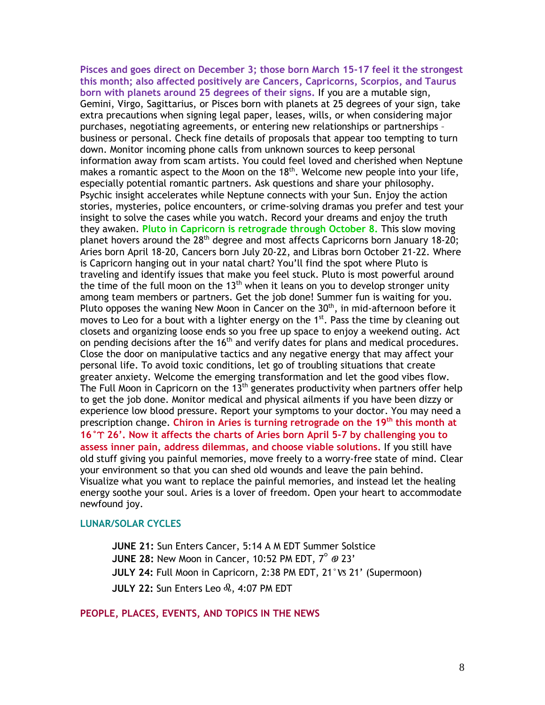**Pisces and goes direct on December 3; those born March 15-17 feel it the strongest this month; also affected positively are Cancers, Capricorns, Scorpios, and Taurus born with planets around 25 degrees of their signs.** If you are a mutable sign, Gemini, Virgo, Sagittarius, or Pisces born with planets at 25 degrees of your sign, take extra precautions when signing legal paper, leases, wills, or when considering major purchases, negotiating agreements, or entering new relationships or partnerships – business or personal. Check fine details of proposals that appear too tempting to turn down. Monitor incoming phone calls from unknown sources to keep personal information away from scam artists. You could feel loved and cherished when Neptune makes a romantic aspect to the Moon on the  $18<sup>th</sup>$ . Welcome new people into your life, especially potential romantic partners. Ask questions and share your philosophy. Psychic insight accelerates while Neptune connects with your Sun. Enjoy the action stories, mysteries, police encounters, or crime-solving dramas you prefer and test your insight to solve the cases while you watch. Record your dreams and enjoy the truth they awaken. **Pluto in Capricorn is retrograde through October 8.** This slow moving planet hovers around the 28<sup>th</sup> degree and most affects Capricorns born January 18-20; Aries born April 18-20, Cancers born July 20-22, and Libras born October 21-22. Where is Capricorn hanging out in your natal chart? You'll find the spot where Pluto is traveling and identify issues that make you feel stuck. Pluto is most powerful around the time of the full moon on the  $13<sup>th</sup>$  when it leans on you to develop stronger unity among team members or partners. Get the job done! Summer fun is waiting for you. Pluto opposes the waning New Moon in Cancer on the  $30<sup>th</sup>$ , in mid-afternoon before it moves to Leo for a bout with a lighter energy on the 1<sup>st</sup>. Pass the time by cleaning out closets and organizing loose ends so you free up space to enjoy a weekend outing. Act on pending decisions after the 16<sup>th</sup> and verify dates for plans and medical procedures. Close the door on manipulative tactics and any negative energy that may affect your personal life. To avoid toxic conditions, let go of troubling situations that create greater anxiety. Welcome the emerging transformation and let the good vibes flow. The Full Moon in Capricorn on the  $13<sup>th</sup>$  generates productivity when partners offer help to get the job done. Monitor medical and physical ailments if you have been dizzy or experience low blood pressure. Report your symptoms to your doctor. You may need a prescription change. Chiron in Aries is turning retrograde on the 19<sup>th</sup> this month at **16°**a **26'. Now it affects the charts of Aries born April 5-7 by challenging you to assess inner pain, address dilemmas, and choose viable solutions.** If you still have old stuff giving you painful memories, move freely to a worry-free state of mind. Clear your environment so that you can shed old wounds and leave the pain behind. Visualize what you want to replace the painful memories, and instead let the healing energy soothe your soul. Aries is a lover of freedom. Open your heart to accommodate newfound joy.

## **LUNAR/SOLAR CYCLES**

**JUNE 21:** Sun Enters Cancer, 5:14 A M EDT Summer Solstice **JUNE 28: New Moon in Cancer, 10:52 PM EDT, 7°**  $\emptyset$  **23' JULY 24: Full Moon in Capricorn, 2:38 PM EDT, 21°Vs 21' (Supermoon) JULY 22:** Sun Enters Leo  $\delta k$ , 4:07 PM EDT

# **PEOPLE, PLACES, EVENTS, AND TOPICS IN THE NEWS**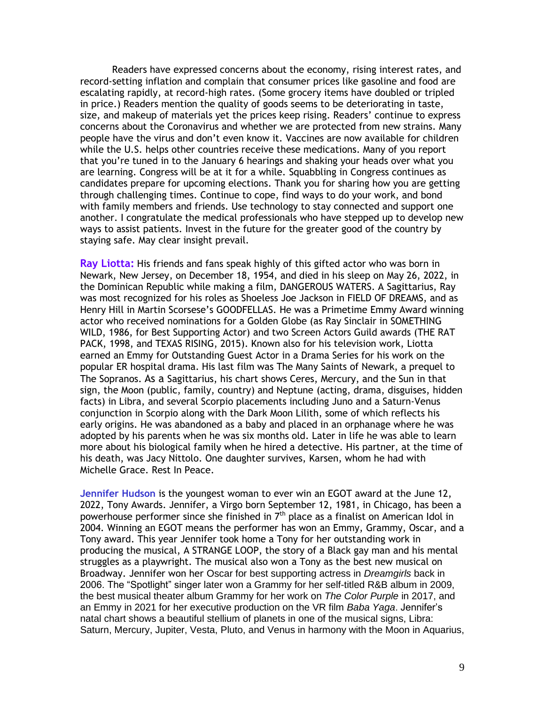Readers have expressed concerns about the economy, rising interest rates, and record-setting inflation and complain that consumer prices like gasoline and food are escalating rapidly, at record-high rates. (Some grocery items have doubled or tripled in price.) Readers mention the quality of goods seems to be deteriorating in taste, size, and makeup of materials yet the prices keep rising. Readers' continue to express concerns about the Coronavirus and whether we are protected from new strains. Many people have the virus and don't even know it. Vaccines are now available for children while the U.S. helps other countries receive these medications. Many of you report that you're tuned in to the January 6 hearings and shaking your heads over what you are learning. Congress will be at it for a while. Squabbling in Congress continues as candidates prepare for upcoming elections. Thank you for sharing how you are getting through challenging times. Continue to cope, find ways to do your work, and bond with family members and friends. Use technology to stay connected and support one another. I congratulate the medical professionals who have stepped up to develop new ways to assist patients. Invest in the future for the greater good of the country by staying safe. May clear insight prevail.

**Ray Liotta:** His friends and fans speak highly of this gifted actor who was born in Newark, New Jersey, on December 18, 1954, and died in his sleep on May 26, 2022, in the Dominican Republic while making a film, DANGEROUS WATERS. A Sagittarius, Ray was most recognized for his roles as Shoeless Joe Jackson in FIELD OF DREAMS, and as Henry Hill in Martin Scorsese's GOODFELLAS. He was a Primetime Emmy Award winning actor who received nominations for a Golden Globe (as Ray Sinclair in SOMETHING WILD, 1986, for Best Supporting Actor) and two Screen Actors Guild awards (THE RAT PACK, 1998, and TEXAS RISING, 2015). Known also for his television work, Liotta earned an Emmy for Outstanding Guest Actor in a Drama Series for his work on the popular ER hospital drama. His last film was The Many Saints of Newark, a prequel to The Sopranos. As a Sagittarius, his chart shows Ceres, Mercury, and the Sun in that sign, the Moon (public, family, country) and Neptune (acting, drama, disguises, hidden facts) in Libra, and several Scorpio placements including Juno and a Saturn-Venus conjunction in Scorpio along with the Dark Moon Lilith, some of which reflects his early origins. He was abandoned as a baby and placed in an orphanage where he was adopted by his parents when he was six months old. Later in life he was able to learn more about his biological family when he hired a detective. His partner, at the time of his death, was Jacy Nittolo. One daughter survives, Karsen, whom he had with Michelle Grace. Rest In Peace.

**Jennifer Hudson** is the youngest woman to ever win an EGOT award at the June 12, 2022, Tony Awards. Jennifer, a Virgo born September 12, 1981, in Chicago, has been a powerhouse performer since she finished in  $7<sup>th</sup>$  place as a finalist on American Idol in 2004. Winning an EGOT means the performer has won an Emmy, Grammy, Oscar, and a Tony award. This year Jennifer took home a Tony for her outstanding work in producing the musical, A STRANGE LOOP, the story of a Black gay man and his mental struggles as a playwright. The musical also won a Tony as the best new musical on Broadway. Jennifer won her Oscar for best supporting actress in *Dreamgirls* back in 2006. The "Spotlight" singer later won a Grammy for her self-titled R&B album in 2009, the best musical theater album Grammy for her work on *The Color Purple* in 2017, and an Emmy in 2021 for her executive production on the VR film *Baba Yaga*. Jennifer's natal chart shows a beautiful stellium of planets in one of the musical signs, Libra: Saturn, Mercury, Jupiter, Vesta, Pluto, and Venus in harmony with the Moon in Aquarius,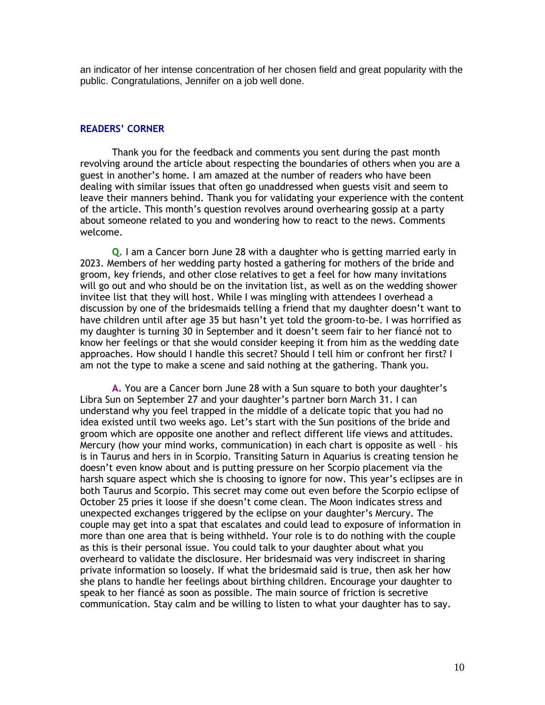an indicator of her intense concentration of her chosen field and great popularity with the public. Congratulations, Jennifer on a job well done.

### **READERS' CORNER**

Thank you for the feedback and comments you sent during the past month revolving around the article about respecting the boundaries of others when you are a guest in another's home. I am amazed at the number of readers who have been dealing with similar issues that often go unaddressed when guests visit and seem to leave their manners behind. Thank you for validating your experience with the content of the article. This month's question revolves around overhearing gossip at a party about someone related to you and wondering how to react to the news. Comments welcome.

**Q.** I am a Cancer born June 28 with a daughter who is getting married early in 2023. Members of her wedding party hosted a gathering for mothers of the bride and groom, key friends, and other close relatives to get a feel for how many invitations will go out and who should be on the invitation list, as well as on the wedding shower invitee list that they will host. While I was mingling with attendees I overhead a discussion by one of the bridesmaids telling a friend that my daughter doesn't want to have children until after age 35 but hasn't yet told the groom-to-be. I was horrified as my daughter is turning 30 in September and it doesn't seem fair to her fiancé not to know her feelings or that she would consider keeping it from him as the wedding date approaches. How should I handle this secret? Should I tell him or confront her first? I am not the type to make a scene and said nothing at the gathering. Thank you.

**A.** You are a Cancer born June 28 with a Sun square to both your daughter's Libra Sun on September 27 and your daughter's partner born March 31. I can understand why you feel trapped in the middle of a delicate topic that you had no idea existed until two weeks ago. Let's start with the Sun positions of the bride and groom which are opposite one another and reflect different life views and attitudes. Mercury (how your mind works, communication) in each chart is opposite as well – his is in Taurus and hers in in Scorpio. Transiting Saturn in Aquarius is creating tension he doesn't even know about and is putting pressure on her Scorpio placement via the harsh square aspect which she is choosing to ignore for now. This year's eclipses are in both Taurus and Scorpio. This secret may come out even before the Scorpio eclipse of October 25 pries it loose if she doesn't come clean. The Moon indicates stress and unexpected exchanges triggered by the eclipse on your daughter's Mercury. The couple may get into a spat that escalates and could lead to exposure of information in more than one area that is being withheld. Your role is to do nothing with the couple as this is their personal issue. You could talk to your daughter about what you overheard to validate the disclosure. Her bridesmaid was very indiscreet in sharing private information so loosely. If what the bridesmaid said is true, then ask her how she plans to handle her feelings about birthing children. Encourage your daughter to speak to her fiancé as soon as possible. The main source of friction is secretive communication. Stay calm and be willing to listen to what your daughter has to say.